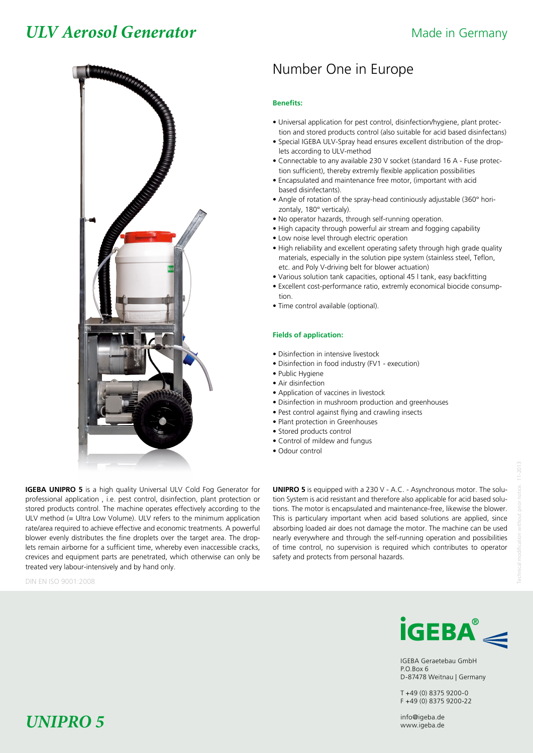## *ULV Aerosol Generator* Made in Germany



## Number One in Europe

### **Benefits:**

- Universal application for pest control, disinfection/hygiene, plant protec tion and stored products control (also suitable for acid based disinfectans)
- Special IGEBA ULV-Spray head ensures excellent distribution of the drop lets according to ULV-method
- Connectable to any available 230 V socket (standard 16 A Fuse protec tion sufficient), thereby extremly flexible application possibilities
- Encapsulated and maintenance free motor, (important with acid based disinfectants).
- Angle of rotation of the spray-head continiously adjustable (360° hori zontaly, 180° verticaly).
- No operator hazards, through self-running operation.
- High capacity through powerful air stream and fogging capability
- Low noise level through electric operation
- High reliability and excellent operating safety through high grade quality materials, especially in the solution pipe system (stainless steel, Teflon, etc. and Poly V-driving belt for blower actuation)
- Various solution tank capacities, optional 45 l tank, easy backfitting
- Excellent cost-performance ratio, extremly economical biocide consump tion.
- Time control available (optional).

### **Fields of application:**

- Disinfection in intensive livestock
- Disinfection in food industry (FV1 execution)
- Public Hygiene
- Air disinfection
- Application of vaccines in livestock
- Disinfection in mushroom production and greenhouses
- Pest control against flying and crawling insects
- Plant protection in Greenhouses
- Stored products control
- Control of mildew and fungus
- Odour control

**IGEBA UNIPRO 5** is a high quality Universal ULV Cold Fog Generator for professional application , i.e. pest control, disinfection, plant protection or stored products control. The machine operates effectively according to the ULV method (= Ultra Low Volume). ULV refers to the minimum application rate/area required to achieve effective and economic treatments. A powerful blower evenly distributes the fine droplets over the target area. The droplets remain airborne for a sufficient time, whereby even inaccessible cracks, crevices and equipment parts are penetrated, which otherwise can only be treated very labour-intensively and by hand only.

DIN EN ISO 9001:2008

**UNIPRO 5** is equipped with a 230 V - A.C. - Asynchronous motor. The solution System is acid resistant and therefore also applicable for acid based solutions. The motor is encapsulated and maintenance-free, likewise the blower. This is particulary important when acid based solutions are applied, since absorbing loaded air does not damage the motor. The machine can be used nearly everywhere and through the self-running operation and possibilities of time control, no supervision is required which contributes to operator safety and protects from personal hazards.



IGEBA Geraetebau GmbH P.O.Box 6 D-87478 Weitnau | Germany

T +49 (0) 8375 9200-0 F +49 (0) 8375 9200-22

# *UNIPRO 5* info@igeba.de *UNIPRO 5* www.igeba.de